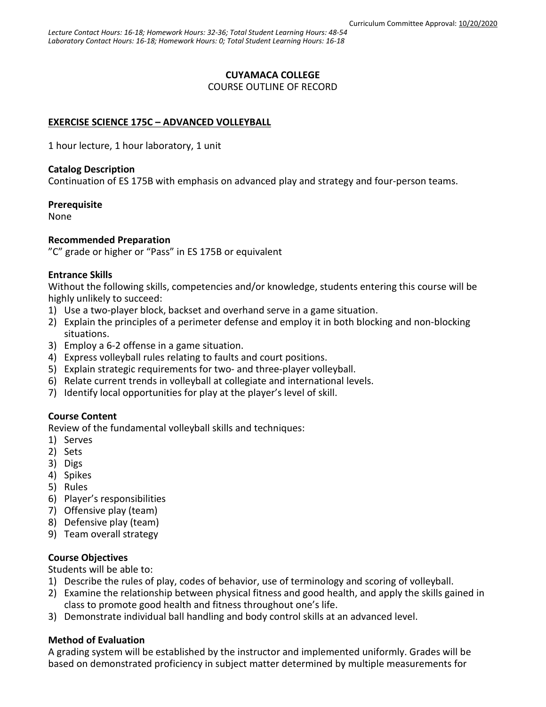#### **CUYAMACA COLLEGE**

COURSE OUTLINE OF RECORD

#### **EXERCISE SCIENCE 175C – ADVANCED VOLLEYBALL**

1 hour lecture, 1 hour laboratory, 1 unit

#### **Catalog Description**

Continuation of ES 175B with emphasis on advanced play and strategy and four-person teams.

#### **Prerequisite**

None

#### **Recommended Preparation**

"C" grade or higher or "Pass" in ES 175B or equivalent

#### **Entrance Skills**

Without the following skills, competencies and/or knowledge, students entering this course will be highly unlikely to succeed:

- 1) Use a two-player block, backset and overhand serve in a game situation.
- 2) Explain the principles of a perimeter defense and employ it in both blocking and non-blocking situations.
- 3) Employ a 6-2 offense in a game situation.
- 4) Express volleyball rules relating to faults and court positions.
- 5) Explain strategic requirements for two- and three-player volleyball.
- 6) Relate current trends in volleyball at collegiate and international levels.
- 7) Identify local opportunities for play at the player's level of skill.

# **Course Content**

Review of the fundamental volleyball skills and techniques:

- 1) Serves
- 2) Sets
- 3) Digs
- 4) Spikes
- 5) Rules
- 6) Player's responsibilities
- 7) Offensive play (team)
- 8) Defensive play (team)
- 9) Team overall strategy

# **Course Objectives**

Students will be able to:

- 1) Describe the rules of play, codes of behavior, use of terminology and scoring of volleyball.
- 2) Examine the relationship between physical fitness and good health, and apply the skills gained in class to promote good health and fitness throughout one's life.
- 3) Demonstrate individual ball handling and body control skills at an advanced level.

# **Method of Evaluation**

A grading system will be established by the instructor and implemented uniformly. Grades will be based on demonstrated proficiency in subject matter determined by multiple measurements for